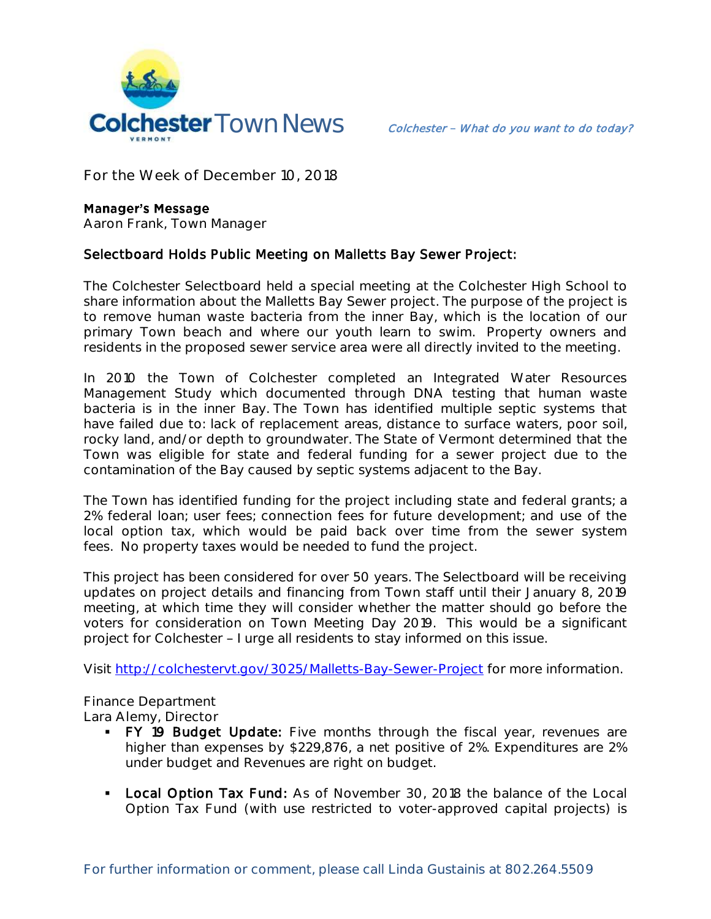

**For the Week of December 10, 2018**

## **Manager's Message**

**Aaron Frank, Town Manager**

## Selectboard Holds Public Meeting on Malletts Bay Sewer Project:

The Colchester Selectboard held a special meeting at the Colchester High School to share information about the Malletts Bay Sewer project. The purpose of the project is to remove human waste bacteria from the inner Bay, which is the location of our primary Town beach and where our youth learn to swim. Property owners and residents in the proposed sewer service area were all directly invited to the meeting.

In 2010 the Town of Colchester completed an Integrated Water Resources Management Study which documented through DNA testing that human waste bacteria is in the inner Bay. The Town has identified multiple septic systems that have failed due to: lack of replacement areas, distance to surface waters, poor soil, rocky land, and/or depth to groundwater. The State of Vermont determined that the Town was eligible for state and federal funding for a sewer project due to the contamination of the Bay caused by septic systems adjacent to the Bay.

The Town has identified funding for the project including state and federal grants; a 2% federal loan; user fees; connection fees for future development; and use of the local option tax, which would be paid back over time from the sewer system fees. No property taxes would be needed to fund the project.

This project has been considered for over 50 years. The Selectboard will be receiving updates on project details and financing from Town staff until their January 8, 2019 meeting, at which time they will consider whether the matter should go before the voters for consideration on Town Meeting Day 2019. This would be a significant project for Colchester - I urge all residents to stay informed on this issue.

Visit <http://colchestervt.gov/3025/Malletts-Bay-Sewer-Project> for more information.

**Finance Department Lara Alemy, Director**

- FY 19 Budget Update: Five months through the fiscal year, revenues are higher than expenses by \$229,876, a net positive of 2%. Expenditures are 2% under budget and Revenues are right on budget.
- **Local Option Tax Fund:** As of November 30, 2018 the balance of the Local Option Tax Fund (with use restricted to voter-approved capital projects) is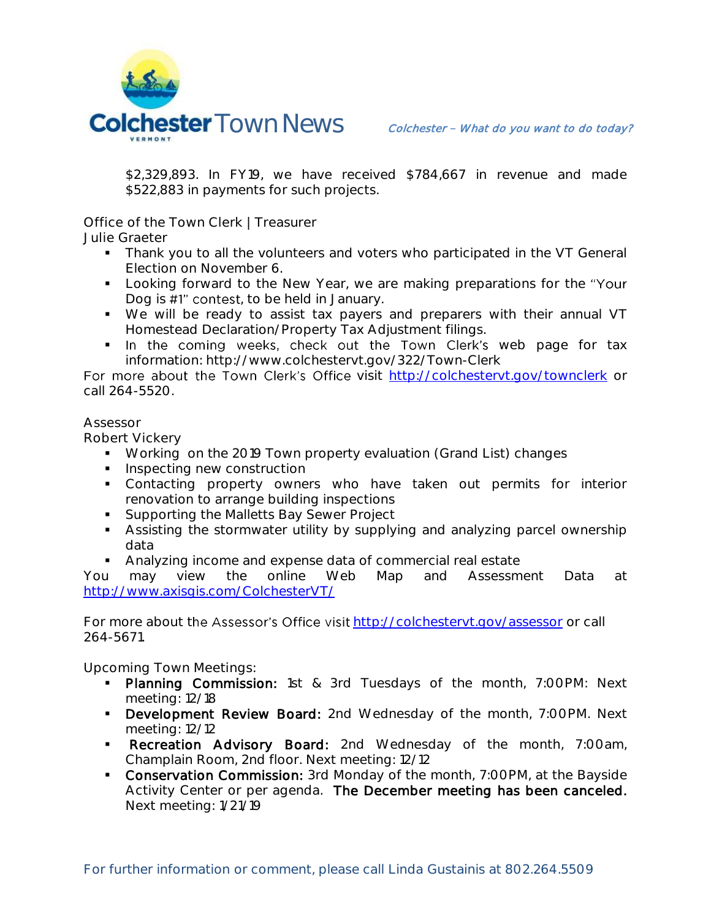

\$2,329,893. In FY19, we have received \$784,667 in revenue and made \$522,883 in payments for such projects.

**Office of the Town Clerk | Treasurer**

**Julie Graeter**

- Thank you to all the volunteers and voters who participated in the VT General Election on November 6.
- **Looking forward to the New Year, we are making preparations for the "Your"** Dog is #1" contest, to be held in January.
- We will be ready to assist tax payers and preparers with their annual VT Homestead Declaration/Property Tax Adjustment filings.
- . In the coming weeks, check out the Town Clerk's web page for tax information: http://www.colchestervt.gov/322/Town-Clerk

For more about the Town Clerk's Office visit <http://colchestervt.gov/townclerk> or call 264-5520.

## **Assessor**

**Robert Vickery**

- **Working on the 2019 Town property evaluation (Grand List) changes**
- **Inspecting new construction**
- Contacting property owners who have taken out permits for interior renovation to arrange building inspections
- **Supporting the Malletts Bay Sewer Project**
- Assisting the stormwater utility by supplying and analyzing parcel ownership data
- Analyzing income and expense data of commercial real estate

You may view the online Web Map and Assessment Data at <http://www.axisgis.com/ColchesterVT/>

For more about the Assessor's Office visit <http://colchestervt.gov/assessor> or call 264-5671.

**Upcoming Town Meetings:** 

- Planning Commission: 1st & 3rd Tuesdays of the month, 7:00PM: Next meeting: 12/18
- **Development Review Board:** 2nd Wednesday of the month, 7:00PM. Next meeting: 12/12
- **Recreation Advisory Board:** 2nd Wednesday of the month, 7:00am, Champlain Room, 2nd floor. Next meeting: 12/12
- **Conservation Commission:** 3rd Monday of the month, 7:00PM, at the Bayside Activity Center or per agenda. The December meeting has been canceled. Next meeting: 1/21/19